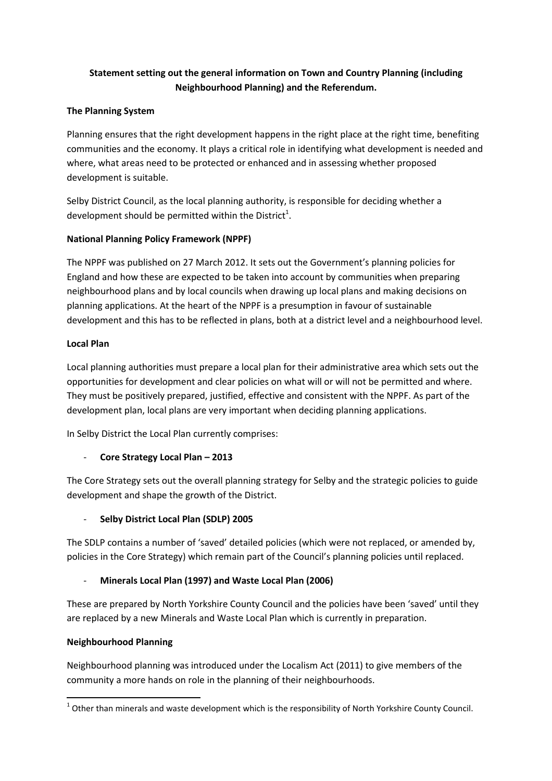# Statement setting out the general information on Town and Country Planning (including Neighbourhood Planning) and the Referendum.

### The Planning System

Planning ensures that the right development happens in the right place at the right time, benefiting communities and the economy. It plays a critical role in identifying what development is needed and where, what areas need to be protected or enhanced and in assessing whether proposed development is suitable.

Selby District Council, as the local planning authority, is responsible for deciding whether a development should be permitted within the District<sup>1</sup>.

### National Planning Policy Framework (NPPF)

The NPPF was published on 27 March 2012. It sets out the Government's planning policies for England and how these are expected to be taken into account by communities when preparing neighbourhood plans and by local councils when drawing up local plans and making decisions on planning applications. At the heart of the NPPF is a presumption in favour of sustainable development and this has to be reflected in plans, both at a district level and a neighbourhood level.

### Local Plan

Local planning authorities must prepare a local plan for their administrative area which sets out the opportunities for development and clear policies on what will or will not be permitted and where. They must be positively prepared, justified, effective and consistent with the NPPF. As part of the development plan, local plans are very important when deciding planning applications.

In Selby District the Local Plan currently comprises:

## - Core Strategy Local Plan – 2013

The Core Strategy sets out the overall planning strategy for Selby and the strategic policies to guide development and shape the growth of the District.

## Selby District Local Plan (SDLP) 2005

The SDLP contains a number of 'saved' detailed policies (which were not replaced, or amended by, policies in the Core Strategy) which remain part of the Council's planning policies until replaced.

## Minerals Local Plan (1997) and Waste Local Plan (2006)

These are prepared by North Yorkshire County Council and the policies have been 'saved' until they are replaced by a new Minerals and Waste Local Plan which is currently in preparation.

### Neighbourhood Planning

 $\overline{a}$ 

Neighbourhood planning was introduced under the Localism Act (2011) to give members of the community a more hands on role in the planning of their neighbourhoods.

 $^1$  Other than minerals and waste development which is the responsibility of North Yorkshire County Council.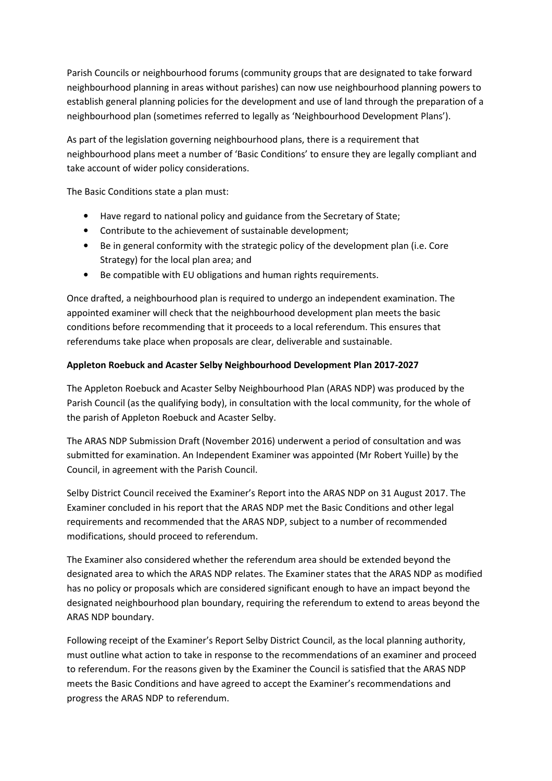Parish Councils or neighbourhood forums (community groups that are designated to take forward neighbourhood planning in areas without parishes) can now use neighbourhood planning powers to establish general planning policies for the development and use of land through the preparation of a neighbourhood plan (sometimes referred to legally as 'Neighbourhood Development Plans').

As part of the legislation governing neighbourhood plans, there is a requirement that neighbourhood plans meet a number of 'Basic Conditions' to ensure they are legally compliant and take account of wider policy considerations.

The Basic Conditions state a plan must:

- Have regard to national policy and guidance from the Secretary of State;
- Contribute to the achievement of sustainable development;
- Be in general conformity with the strategic policy of the development plan (i.e. Core Strategy) for the local plan area; and
- Be compatible with EU obligations and human rights requirements.

Once drafted, a neighbourhood plan is required to undergo an independent examination. The appointed examiner will check that the neighbourhood development plan meets the basic conditions before recommending that it proceeds to a local referendum. This ensures that referendums take place when proposals are clear, deliverable and sustainable.

### Appleton Roebuck and Acaster Selby Neighbourhood Development Plan 2017-2027

The Appleton Roebuck and Acaster Selby Neighbourhood Plan (ARAS NDP) was produced by the Parish Council (as the qualifying body), in consultation with the local community, for the whole of the parish of Appleton Roebuck and Acaster Selby.

The ARAS NDP Submission Draft (November 2016) underwent a period of consultation and was submitted for examination. An Independent Examiner was appointed (Mr Robert Yuille) by the Council, in agreement with the Parish Council.

Selby District Council received the Examiner's Report into the ARAS NDP on 31 August 2017. The Examiner concluded in his report that the ARAS NDP met the Basic Conditions and other legal requirements and recommended that the ARAS NDP, subject to a number of recommended modifications, should proceed to referendum.

The Examiner also considered whether the referendum area should be extended beyond the designated area to which the ARAS NDP relates. The Examiner states that the ARAS NDP as modified has no policy or proposals which are considered significant enough to have an impact beyond the designated neighbourhood plan boundary, requiring the referendum to extend to areas beyond the ARAS NDP boundary.

Following receipt of the Examiner's Report Selby District Council, as the local planning authority, must outline what action to take in response to the recommendations of an examiner and proceed to referendum. For the reasons given by the Examiner the Council is satisfied that the ARAS NDP meets the Basic Conditions and have agreed to accept the Examiner's recommendations and progress the ARAS NDP to referendum.